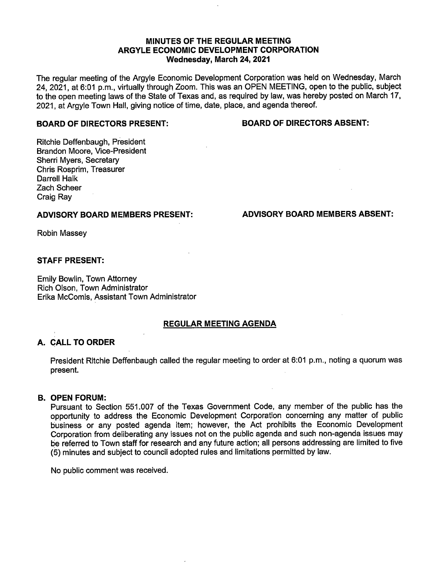## MINUTES OF THE REGULAR MEETING ARGYLE ECONOMIC DEVELOPMENT CORPORATION Wednesday, March 24, 2021

The regular meeting of the Argyle Economic Development Corporation was held on Wednesday, March 24, 2021, at 6:01 p.m., virtually through Zoom. This was an OPEN MEETING, open to the public, subject to the open meeting laws of the State of Texas and, as required by law, was hereby posted on March 17, 2021, at Argyle Town Hall, giving notice of time, date, place, and agenda thereof.

#### BOARD OF DIRECTORS PRESENT: BOARD OF DIRECTORS ABSENT:

Ritchie Deffenbaugh, President Brandon Moore, Vice-President Sherri Myers, Secretary Chris Rosprim, Treasurer Darrell Halk Zach Scheer Craig Ray

# ADVISORY BOARD MEMBERS PRESENT: ADVISORY BOARD MEMBERS ABSENT:

Robin Massey

## STAFF PRESENT:

Emily Bowlin, Town Attorney Rich Olson, Town Administrator Erika McComis, Assistant Town Administrator

## REGULAR MEETING AGENDA

# A. CALL TO ORDER

President Ritchie Deffenbaugh called the regular meeting to order at 6:01 p.m., noting a quorum was present.

## B. OPEN FORUM:

Pursuant to Section 551. 007 of the Texas Government Code, any member of the public has the opportunity to address the Economic Development Corporation concerning any matter of public business or any posted agenda item; however, the Act prohibits the Economic Development Corporation from deliberating any issues not on the public agenda and such non-agenda issues may be referred to Town staff for research and any future action; all persons addressing are limited to five 5) minutes and subject to council adopted rules and limitations permitted by law.

No public comment was received.